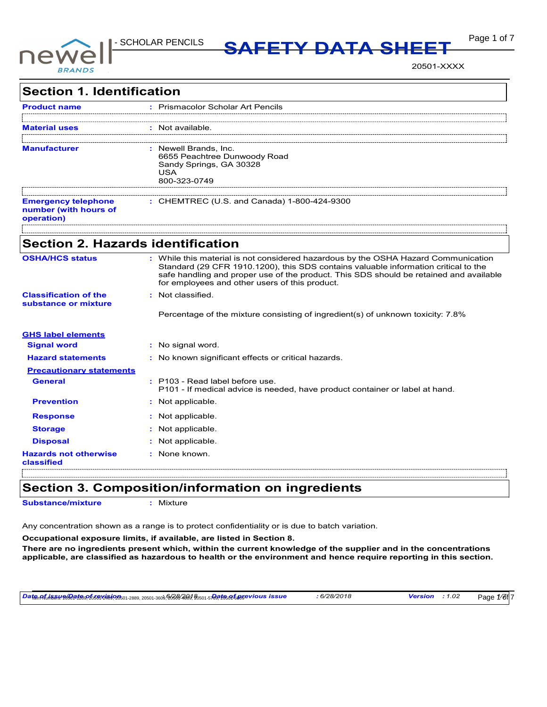

**Page 1 of 7 MSDS SAFETY DATA SHEET** 

20501-XXXX

| <b>Section 1. Identification</b>                                  |                                                                                                                                                                                                                                                                                                                       |
|-------------------------------------------------------------------|-----------------------------------------------------------------------------------------------------------------------------------------------------------------------------------------------------------------------------------------------------------------------------------------------------------------------|
| Product name                                                      | : Prismacolor Scholar Art Pencils                                                                                                                                                                                                                                                                                     |
|                                                                   | : Not available.                                                                                                                                                                                                                                                                                                      |
| <b>Manufacturer</b>                                               | : Newell Brands, Inc.<br>6655 Peachtree Dunwoody Road<br>Sandy Springs, GA 30328<br><b>USA</b><br>800-323-0749                                                                                                                                                                                                        |
| <b>Emergency telephone</b><br>number (with hours of<br>operation) | : CHEMTREC (U.S. and Canada) 1-800-424-9300                                                                                                                                                                                                                                                                           |
| <b>Section 2. Hazards identification</b>                          |                                                                                                                                                                                                                                                                                                                       |
| <b>OSHA/HCS status</b>                                            | : While this material is not considered hazardous by the OSHA Hazard Communication<br>Standard (29 CFR 1910.1200), this SDS contains valuable information critical to the<br>safe handling and proper use of the product. This SDS should be retained and available<br>for employees and other users of this product. |
| <b>Classification of the</b><br>substance or mixture              | : Not classified.<br>Percentage of the mixture consisting of ingredient(s) of unknown toxicity: 7.8%                                                                                                                                                                                                                  |
| <b>GHS label elements</b>                                         |                                                                                                                                                                                                                                                                                                                       |
| <b>Signal word</b>                                                | : No signal word.                                                                                                                                                                                                                                                                                                     |
| <b>Hazard statements</b>                                          | : No known significant effects or critical hazards.                                                                                                                                                                                                                                                                   |
| <b>Precautionary statements</b>                                   |                                                                                                                                                                                                                                                                                                                       |
| <b>General</b>                                                    | : P103 - Read label before use.<br>P101 - If medical advice is needed, have product container or label at hand.                                                                                                                                                                                                       |
| <b>Prevention</b>                                                 | : Not applicable.                                                                                                                                                                                                                                                                                                     |
| <b>Response</b>                                                   | : Not applicable.                                                                                                                                                                                                                                                                                                     |
|                                                                   | : Not applicable.                                                                                                                                                                                                                                                                                                     |
| <b>Storage</b>                                                    |                                                                                                                                                                                                                                                                                                                       |
| <b>Disposal</b>                                                   | : Not applicable.                                                                                                                                                                                                                                                                                                     |

### **Section 3. Composition/information on ingredients**

**Substance/mixture :** Mixture

Any concentration shown as a range is to protect confidentiality or is due to batch variation.

**Occupational exposure limits, if available, are listed in Section 8.**

**There are no ingredients present which, within the current knowledge of the supplier and in the concentrations applicable, are classified as hazardous to health or the environment and hence require reporting in this section.**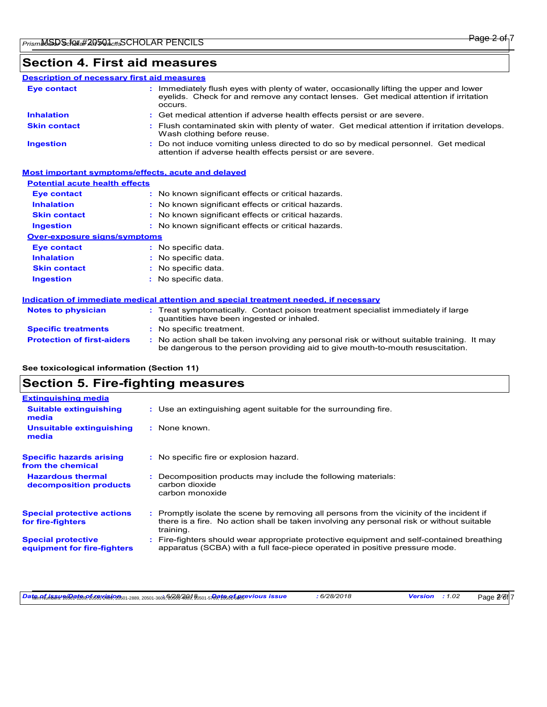### **Section 4. First aid measures**

#### Do not induce vomiting unless directed to do so by medical personnel. Get medical attention if adverse health effects persist or are severe. **:** Immediately flush eyes with plenty of water, occasionally lifting the upper and lower eyelids. Check for and remove any contact lenses. Get medical attention if irritation occurs. Flush contaminated skin with plenty of water. Get medical attention if irritation develops. **:** Wash clothing before reuse. Get medical attention if adverse health effects persist or are severe. **: Eye contact Skin contact Inhalation Ingestion : Description of necessary first aid measures**

### **Most important symptoms/effects, acute and delayed**

### **Potential acute health effects**

| <b>Eye contact</b>                  | : No known significant effects or critical hazards. |
|-------------------------------------|-----------------------------------------------------|
| <b>Inhalation</b>                   | : No known significant effects or critical hazards. |
| <b>Skin contact</b>                 | : No known significant effects or critical hazards. |
| <b>Ingestion</b>                    | : No known significant effects or critical hazards. |
| <b>Over-exposure signs/symptoms</b> |                                                     |
| <b>Eye contact</b>                  | No specific data.                                   |
| <b>Inhalation</b>                   | : No specific data.                                 |
| <b>Skin contact</b>                 | : No specific data.                                 |
| <b>Ingestion</b>                    | : No specific data.                                 |

### **Indication of immediate medical attention and special treatment needed, if necessary**

| <b>Notes to physician</b>         | : Treat symptomatically. Contact poison treatment specialist immediately if large<br>quantities have been ingested or inhaled.                                                |  |
|-----------------------------------|-------------------------------------------------------------------------------------------------------------------------------------------------------------------------------|--|
| <b>Specific treatments</b>        | : No specific treatment.                                                                                                                                                      |  |
| <b>Protection of first-aiders</b> | : No action shall be taken involving any personal risk or without suitable training. It may<br>be dangerous to the person providing aid to give mouth-to-mouth resuscitation. |  |

### **See toxicological information (Section 11)**

### **Section 5. Fire-fighting measures**

| <b>Extinguishing media</b>                               |                                                                                                                                                                                                   |
|----------------------------------------------------------|---------------------------------------------------------------------------------------------------------------------------------------------------------------------------------------------------|
| <b>Suitable extinguishing</b><br>media                   | : Use an extinguishing agent suitable for the surrounding fire.                                                                                                                                   |
| Unsuitable extinguishing<br>media                        | : None known.                                                                                                                                                                                     |
| <b>Specific hazards arising</b><br>from the chemical     | : No specific fire or explosion hazard.                                                                                                                                                           |
| <b>Hazardous thermal</b><br>decomposition products       | Decomposition products may include the following materials:<br>carbon dioxide<br>carbon monoxide                                                                                                  |
| <b>Special protective actions</b><br>for fire-fighters   | Promptly isolate the scene by removing all persons from the vicinity of the incident if<br>there is a fire. No action shall be taken involving any personal risk or without suitable<br>training. |
| <b>Special protective</b><br>equipment for fire-fighters | Fire-fighters should wear appropriate protective equipment and self-contained breathing<br>apparatus (SCBA) with a full face-piece operated in positive pressure mode.                            |

DatemAfuhinasty现63aft额525569124669125601-2689,20501-3609,063644669,95601-50891656958910005 issue : 6/28/2018 Version : 1.02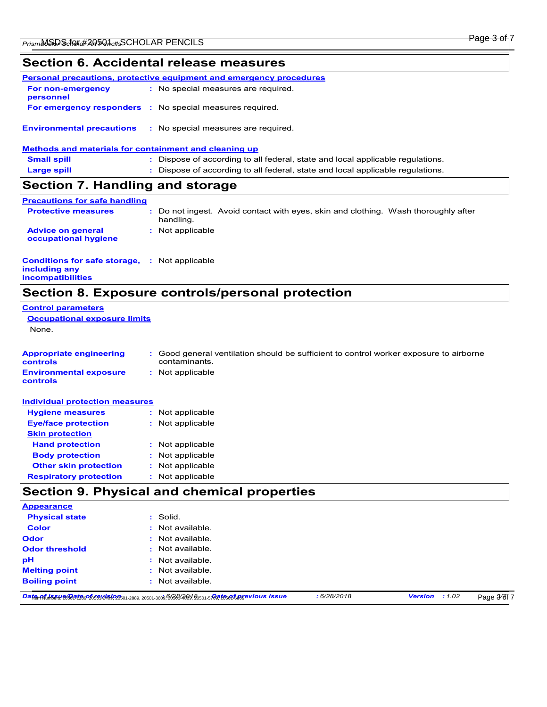### **Section 6. Accidental release measures**

|                                                       | Personal precautions, protective equipment and emergency procedures            |
|-------------------------------------------------------|--------------------------------------------------------------------------------|
| For non-emergency<br>personnel                        | : No special measures are required.                                            |
|                                                       | <b>For emergency responders : No special measures required.</b>                |
| <b>Environmental precautions</b>                      | : No special measures are required.                                            |
| Methods and materials for containment and cleaning up |                                                                                |
| <b>Small spill</b>                                    | : Dispose of according to all federal, state and local applicable regulations. |
| <b>Large spill</b>                                    | : Dispose of according to all federal, state and local applicable regulations. |
| Section 7. Handling and storage                       |                                                                                |
| <b>Precautions for safe handling</b>                  |                                                                                |

| <b>Protective measures</b>                       | : Do not ingest. Avoid contact with eyes, skin and clothing. Wash thoroughly after<br>handling. |
|--------------------------------------------------|-------------------------------------------------------------------------------------------------|
| <b>Advice on general</b><br>occupational hygiene | : Not applicable                                                                                |

#### **Conditions for safe storage, : Not applicable including any incompatibilities**

# **Section 8. Exposure controls/personal protection**

| <b>Control parameters</b>                         |                                                                                                         |  |  |  |
|---------------------------------------------------|---------------------------------------------------------------------------------------------------------|--|--|--|
| <b>Occupational exposure limits</b>               |                                                                                                         |  |  |  |
| None.                                             |                                                                                                         |  |  |  |
|                                                   |                                                                                                         |  |  |  |
| <b>Appropriate engineering</b><br><b>controls</b> | : Good general ventilation should be sufficient to control worker exposure to airborne<br>contaminants. |  |  |  |
| <b>Environmental exposure</b><br>controls         | : Not applicable                                                                                        |  |  |  |
| <b>Individual protection measures</b>             |                                                                                                         |  |  |  |
| <b>Hygiene measures</b>                           | : Not applicable                                                                                        |  |  |  |
| <b>Eye/face protection</b>                        | : Not applicable                                                                                        |  |  |  |
| <b>Skin protection</b>                            |                                                                                                         |  |  |  |
| <b>Hand protection</b>                            | Not applicable                                                                                          |  |  |  |

| <b>Body protection</b>        | : Not applicable |
|-------------------------------|------------------|
| <b>Other skin protection</b>  | : Not applicable |
| <b>Respiratory protection</b> | : Not applicable |

# **Section 9. Physical and chemical properties**

| <b>Appearance</b>     |                                                                                               |             |                       |            |
|-----------------------|-----------------------------------------------------------------------------------------------|-------------|-----------------------|------------|
| <b>Physical state</b> | : Solid.                                                                                      |             |                       |            |
| <b>Color</b>          | : Not available.                                                                              |             |                       |            |
| <b>Odor</b>           | : Not available.                                                                              |             |                       |            |
| <b>Odor threshold</b> | : Not available.                                                                              |             |                       |            |
| pH                    | Not available.<br>÷.                                                                          |             |                       |            |
| <b>Melting point</b>  | : Not available.                                                                              |             |                       |            |
| <b>Boiling point</b>  | Not available.<br>÷.                                                                          |             |                       |            |
|                       | DatenAfine84.200904420926569126501-2889, 20501-3609, 26364489, 20501-5789266A66860Vious issue | : 6/28/2018 | <b>Version</b> : 1.02 | Page 3/6f7 |

Page 3 of 7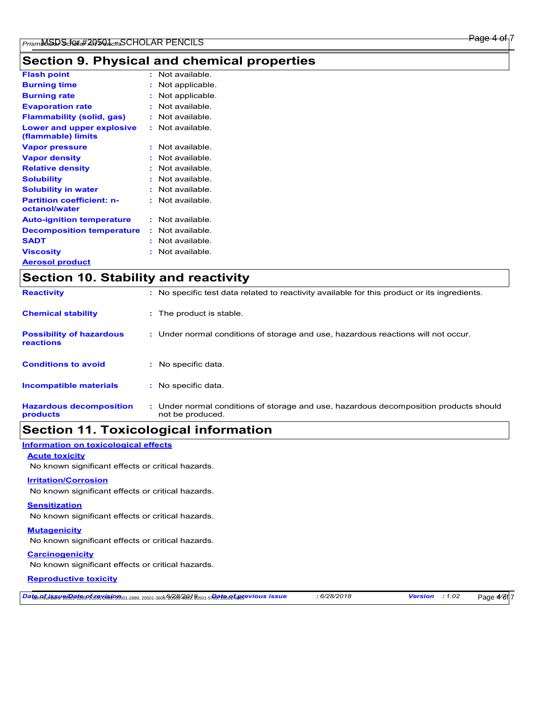# **Section 9. Physical and chemical properties**

| <b>Flash point</b>                                | t. | Not available   |
|---------------------------------------------------|----|-----------------|
| <b>Burning time</b>                               |    | Not applicable. |
| <b>Burning rate</b>                               |    | Not applicable. |
| <b>Evaporation rate</b>                           | ÷  | Not available   |
| <b>Flammability (solid, gas)</b>                  |    | Not available.  |
| Lower and upper explosive<br>(flammable) limits   | t. | Not available.  |
| <b>Vapor pressure</b>                             | ÷  | Not available.  |
| <b>Vapor density</b>                              |    | Not available.  |
| <b>Relative density</b>                           | ÷  | Not available.  |
| <b>Solubility</b>                                 | ÷  | Not available.  |
| <b>Solubility in water</b>                        |    | Not available.  |
| <b>Partition coefficient: n-</b><br>octanol/water |    | Not available.  |
| <b>Auto-ignition temperature</b>                  | ÷  | Not available.  |
| <b>Decomposition temperature</b>                  | ÷  | Not available.  |
| <b>SADT</b>                                       | ÷  | Not available   |
| <b>Viscosity</b>                                  | t  | Not available.  |
| <b>Aerosol product</b>                            |    |                 |

| <b>Section 10. Stability and reactivity</b>         |  |                                                                                                           |
|-----------------------------------------------------|--|-----------------------------------------------------------------------------------------------------------|
| <b>Reactivity</b>                                   |  | : No specific test data related to reactivity available for this product or its ingredients.              |
| <b>Chemical stability</b>                           |  | : The product is stable.                                                                                  |
| <b>Possibility of hazardous</b><br><b>reactions</b> |  | : Under normal conditions of storage and use, hazardous reactions will not occur.                         |
| <b>Conditions to avoid</b>                          |  | : No specific data.                                                                                       |
| <b>Incompatible materials</b>                       |  | : No specific data.                                                                                       |
| <b>Hazardous decomposition</b><br>products          |  | : Under normal conditions of storage and use, hazardous decomposition products should<br>not be produced. |

## **Section 11. Toxicological information**

#### **Information on toxicological effects**

#### **Acute toxicity**

No known significant effects or critical hazards.

### **Irritation/Corrosion**

No known significant effects or critical hazards.

#### **Sensitization**

No known significant effects or critical hazards.

#### **Mutagenicity**

No known significant effects or critical hazards.

### **Carcinogenicity**

No known significant effects or critical hazards.

### **Reproductive toxicity**

*Date of issue/Date of revision* Item Numbers: 20501-1209, 20501-2409, 20501-2889, 20501-3609, 20501-4809, 20501-5769, 20501-6009 **:** *6/28/2018 Date of previous issue : 6/28/2018 Version : 1.02*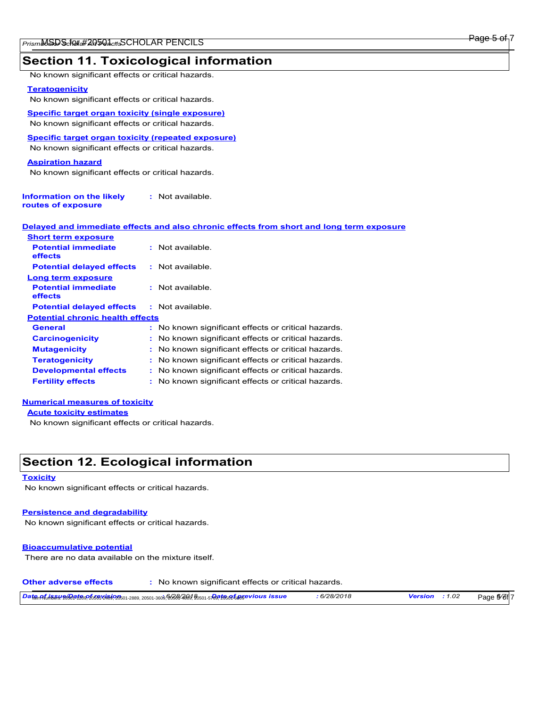## **Section 11. Toxicological information**

No known significant effects or critical hazards.

#### **Teratogenicity**

No known significant effects or critical hazards.

**Specific target organ toxicity (single exposure)** No known significant effects or critical hazards.

**Specific target organ toxicity (repeated exposure)**

No known significant effects or critical hazards.

#### **Aspiration hazard**

No known significant effects or critical hazards.

| Information on the likely | : Not available. |
|---------------------------|------------------|
| routes of exposure        |                  |

| <u>Delaved and immediate effects and also chronic effects from short and long term exposure </u> |  |  |  |
|--------------------------------------------------------------------------------------------------|--|--|--|
| <b>Short term exposure</b>                                                                       |  |  |  |

| onon term exposure                      |                                                     |
|-----------------------------------------|-----------------------------------------------------|
| <b>Potential immediate</b><br>effects   | : Not available.                                    |
| <b>Potential delayed effects</b>        | $:$ Not available.                                  |
| Long term exposure                      |                                                     |
| <b>Potential immediate</b><br>effects   | $:$ Not available.                                  |
| <b>Potential delayed effects</b>        | : Not available.                                    |
| <b>Potential chronic health effects</b> |                                                     |
| <b>General</b>                          | : No known significant effects or critical hazards. |
| <b>Carcinogenicity</b>                  | : No known significant effects or critical hazards. |
| <b>Mutagenicity</b>                     | : No known significant effects or critical hazards. |
| <b>Teratogenicity</b>                   | : No known significant effects or critical hazards. |
| <b>Developmental effects</b>            | : No known significant effects or critical hazards. |
| <b>Fertility effects</b>                | : No known significant effects or critical hazards. |
|                                         |                                                     |

### **Numerical measures of toxicity**

**Acute toxicity estimates**

No known significant effects or critical hazards.

## **Section 12. Ecological information**

#### **Toxicity**

No known significant effects or critical hazards.

### **Persistence and degradability**

No known significant effects or critical hazards.

#### **Bioaccumulative potential**

There are no data available on the mixture itself.

**Other adverse effects :** No known significant effects or critical hazards.

| Date நடுத்து ஜிசித்த சில முறை பிருத்து பிருத்து 20501-3609 திருத்தி 20501-5 திரத்த விருத்த பிருத்த பிருத்த பிர | 6/28/2018 | <b>Version</b> : $1.02$ | Page 5/6f7 |
|----------------------------------------------------------------------------------------------------------------|-----------|-------------------------|------------|
|----------------------------------------------------------------------------------------------------------------|-----------|-------------------------|------------|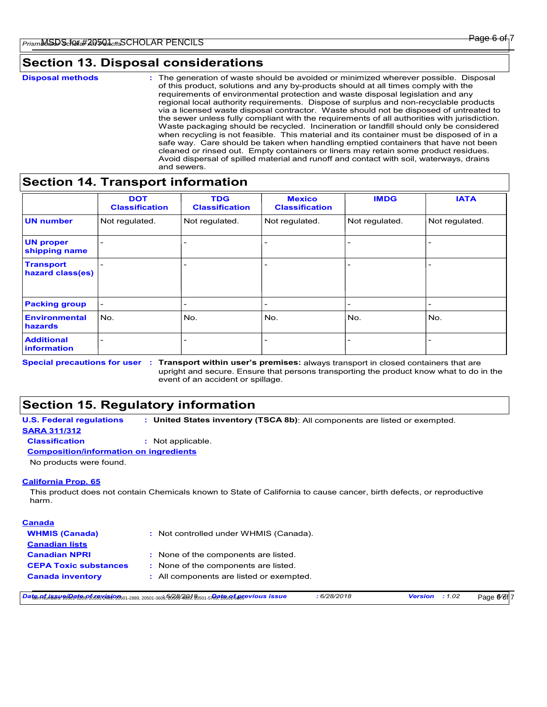### **Section 13. Disposal considerations**

```
Disposal methods :
```
The generation of waste should be avoided or minimized wherever possible. Disposal of this product, solutions and any by-products should at all times comply with the requirements of environmental protection and waste disposal legislation and any regional local authority requirements. Dispose of surplus and non-recyclable products via a licensed waste disposal contractor. Waste should not be disposed of untreated to the sewer unless fully compliant with the requirements of all authorities with jurisdiction. Waste packaging should be recycled. Incineration or landfill should only be considered when recycling is not feasible. This material and its container must be disposed of in a safe way. Care should be taken when handling emptied containers that have not been cleaned or rinsed out. Empty containers or liners may retain some product residues. Avoid dispersal of spilled material and runoff and contact with soil, waterways, drains and sewers.

### **Section 14. Transport information**

|                                      | <b>DOT</b><br><b>Classification</b> | <b>TDG</b><br><b>Classification</b> | <b>Mexico</b><br><b>Classification</b> | <b>IMDG</b>    | <b>IATA</b>    |
|--------------------------------------|-------------------------------------|-------------------------------------|----------------------------------------|----------------|----------------|
| <b>UN number</b>                     | Not regulated.                      | Not regulated.                      | Not regulated.                         | Not regulated. | Not regulated. |
| <b>UN proper</b><br>shipping name    |                                     | $\overline{\phantom{0}}$            | $\overline{\phantom{0}}$               |                |                |
| <b>Transport</b><br>hazard class(es) |                                     |                                     | $\overline{\phantom{a}}$               |                |                |
| <b>Packing group</b>                 | $\overline{\phantom{0}}$            | $\overline{\phantom{0}}$            | $\overline{\phantom{a}}$               |                |                |
| <b>Environmental</b><br>hazards      | No.                                 | No.                                 | No.                                    | No.            | No.            |
| <b>Additional</b><br>information     |                                     | $\overline{\phantom{0}}$            | $\overline{\phantom{0}}$               |                |                |

Special precautions for user : Transport within user's premises: always transport in closed containers that are upright and secure. Ensure that persons transporting the product know what to do in the event of an accident or spillage.

# **Section 15. Regulatory information**

**U.S. Federal regulations : United States inventory (TSCA 8b)**: All components are listed or exempted.

**SARA 311/312**

**Classification :** Not applicable.

**Composition/information on ingredients**

No products were found.

### **California Prop. 65**

This product does not contain Chemicals known to State of California to cause cancer, birth defects, or reproductive harm.

| : Not controlled under WHMIS (Canada).   |
|------------------------------------------|
|                                          |
| : None of the components are listed.     |
| : None of the components are listed.     |
| : All components are listed or exempted. |
|                                          |

DatemAfuh5ayneGat知识foothinghouthinghouthinghouthinghouthinghouthinghouthinghouthinghouthinghouthinghouthinghouthinghouthinghouthinghouthinghouthinghouthinghouthinghouthinghouthinghouthinghouthinghouthinghouthinghouthingho